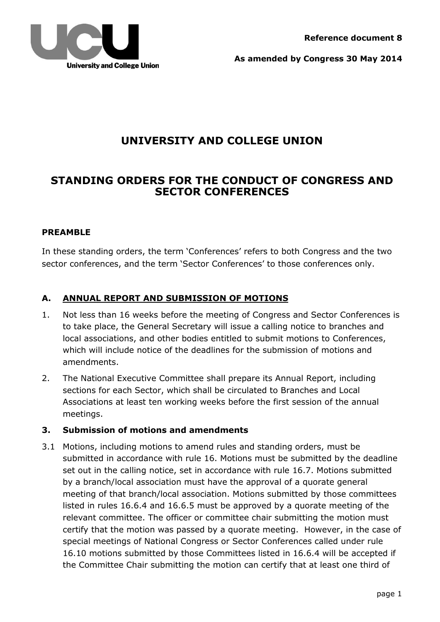

**As amended by Congress 30 May 2014**

## **UNIVERSITY AND COLLEGE UNION**

## **STANDING ORDERS FOR THE CONDUCT OF CONGRESS AND SECTOR CONFERENCES**

### **PREAMBLE**

In these standing orders, the term 'Conferences' refers to both Congress and the two sector conferences, and the term 'Sector Conferences' to those conferences only.

## **A. ANNUAL REPORT AND SUBMISSION OF MOTIONS**

- 1. Not less than 16 weeks before the meeting of Congress and Sector Conferences is to take place, the General Secretary will issue a calling notice to branches and local associations, and other bodies entitled to submit motions to Conferences, which will include notice of the deadlines for the submission of motions and amendments.
- 2. The National Executive Committee shall prepare its Annual Report, including sections for each Sector, which shall be circulated to Branches and Local Associations at least ten working weeks before the first session of the annual meetings.

### **3. Submission of motions and amendments**

3.1 Motions, including motions to amend rules and standing orders, must be submitted in accordance with rule 16. Motions must be submitted by the deadline set out in the calling notice, set in accordance with rule 16.7. Motions submitted by a branch/local association must have the approval of a quorate general meeting of that branch/local association. Motions submitted by those committees listed in rules 16.6.4 and 16.6.5 must be approved by a quorate meeting of the relevant committee. The officer or committee chair submitting the motion must certify that the motion was passed by a quorate meeting. However, in the case of special meetings of National Congress or Sector Conferences called under rule 16.10 motions submitted by those Committees listed in 16.6.4 will be accepted if the Committee Chair submitting the motion can certify that at least one third of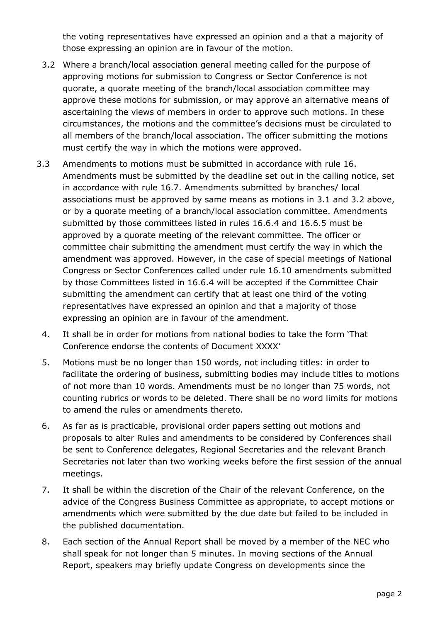the voting representatives have expressed an opinion and a that a majority of those expressing an opinion are in favour of the motion.

- 3.2 Where a branch/local association general meeting called for the purpose of approving motions for submission to Congress or Sector Conference is not quorate, a quorate meeting of the branch/local association committee may approve these motions for submission, or may approve an alternative means of ascertaining the views of members in order to approve such motions. In these circumstances, the motions and the committee's decisions must be circulated to all members of the branch/local association. The officer submitting the motions must certify the way in which the motions were approved.
- 3.3 Amendments to motions must be submitted in accordance with rule 16. Amendments must be submitted by the deadline set out in the calling notice, set in accordance with rule 16.7. Amendments submitted by branches/ local associations must be approved by same means as motions in 3.1 and 3.2 above, or by a quorate meeting of a branch/local association committee. Amendments submitted by those committees listed in rules 16.6.4 and 16.6.5 must be approved by a quorate meeting of the relevant committee. The officer or committee chair submitting the amendment must certify the way in which the amendment was approved. However, in the case of special meetings of National Congress or Sector Conferences called under rule 16.10 amendments submitted by those Committees listed in 16.6.4 will be accepted if the Committee Chair submitting the amendment can certify that at least one third of the voting representatives have expressed an opinion and that a majority of those expressing an opinion are in favour of the amendment.
	- 4. It shall be in order for motions from national bodies to take the form 'That Conference endorse the contents of Document XXXX'
	- 5. Motions must be no longer than 150 words, not including titles: in order to facilitate the ordering of business, submitting bodies may include titles to motions of not more than 10 words. Amendments must be no longer than 75 words, not counting rubrics or words to be deleted. There shall be no word limits for motions to amend the rules or amendments thereto.
	- 6. As far as is practicable, provisional order papers setting out motions and proposals to alter Rules and amendments to be considered by Conferences shall be sent to Conference delegates, Regional Secretaries and the relevant Branch Secretaries not later than two working weeks before the first session of the annual meetings.
	- 7. It shall be within the discretion of the Chair of the relevant Conference, on the advice of the Congress Business Committee as appropriate, to accept motions or amendments which were submitted by the due date but failed to be included in the published documentation.
	- 8. Each section of the Annual Report shall be moved by a member of the NEC who shall speak for not longer than 5 minutes. In moving sections of the Annual Report, speakers may briefly update Congress on developments since the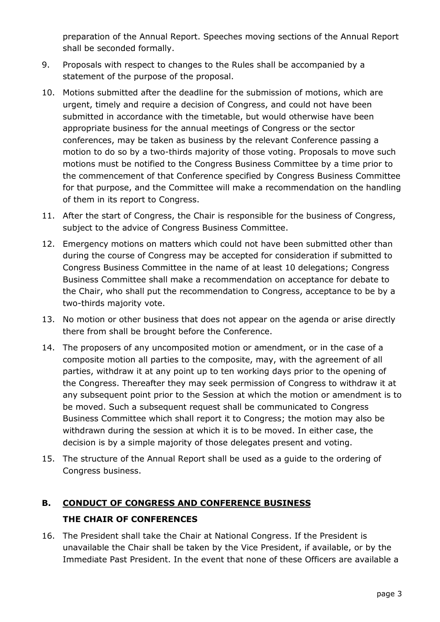preparation of the Annual Report. Speeches moving sections of the Annual Report shall be seconded formally.

- 9. Proposals with respect to changes to the Rules shall be accompanied by a statement of the purpose of the proposal.
- 10. Motions submitted after the deadline for the submission of motions, which are urgent, timely and require a decision of Congress, and could not have been submitted in accordance with the timetable, but would otherwise have been appropriate business for the annual meetings of Congress or the sector conferences, may be taken as business by the relevant Conference passing a motion to do so by a two-thirds majority of those voting. Proposals to move such motions must be notified to the Congress Business Committee by a time prior to the commencement of that Conference specified by Congress Business Committee for that purpose, and the Committee will make a recommendation on the handling of them in its report to Congress.
- 11. After the start of Congress, the Chair is responsible for the business of Congress, subject to the advice of Congress Business Committee.
- 12. Emergency motions on matters which could not have been submitted other than during the course of Congress may be accepted for consideration if submitted to Congress Business Committee in the name of at least 10 delegations; Congress Business Committee shall make a recommendation on acceptance for debate to the Chair, who shall put the recommendation to Congress, acceptance to be by a two-thirds majority vote.
- 13. No motion or other business that does not appear on the agenda or arise directly there from shall be brought before the Conference.
- 14. The proposers of any uncomposited motion or amendment, or in the case of a composite motion all parties to the composite, may, with the agreement of all parties, withdraw it at any point up to ten working days prior to the opening of the Congress. Thereafter they may seek permission of Congress to withdraw it at any subsequent point prior to the Session at which the motion or amendment is to be moved. Such a subsequent request shall be communicated to Congress Business Committee which shall report it to Congress; the motion may also be withdrawn during the session at which it is to be moved. In either case, the decision is by a simple majority of those delegates present and voting.
- 15. The structure of the Annual Report shall be used as a guide to the ordering of Congress business.

# **B. CONDUCT OF CONGRESS AND CONFERENCE BUSINESS THE CHAIR OF CONFERENCES**

16. The President shall take the Chair at National Congress. If the President is unavailable the Chair shall be taken by the Vice President, if available, or by the Immediate Past President. In the event that none of these Officers are available a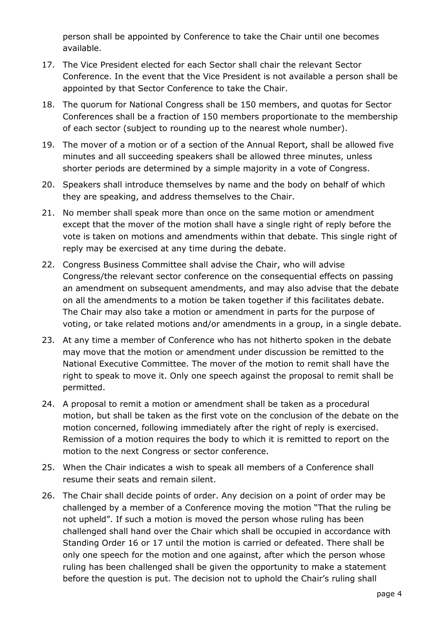person shall be appointed by Conference to take the Chair until one becomes available.

- 17. The Vice President elected for each Sector shall chair the relevant Sector Conference. In the event that the Vice President is not available a person shall be appointed by that Sector Conference to take the Chair.
- 18. The quorum for National Congress shall be 150 members, and quotas for Sector Conferences shall be a fraction of 150 members proportionate to the membership of each sector (subject to rounding up to the nearest whole number).
- 19. The mover of a motion or of a section of the Annual Report, shall be allowed five minutes and all succeeding speakers shall be allowed three minutes, unless shorter periods are determined by a simple majority in a vote of Congress.
- 20. Speakers shall introduce themselves by name and the body on behalf of which they are speaking, and address themselves to the Chair.
- 21. No member shall speak more than once on the same motion or amendment except that the mover of the motion shall have a single right of reply before the vote is taken on motions and amendments within that debate. This single right of reply may be exercised at any time during the debate.
- 22. Congress Business Committee shall advise the Chair, who will advise Congress/the relevant sector conference on the consequential effects on passing an amendment on subsequent amendments, and may also advise that the debate on all the amendments to a motion be taken together if this facilitates debate. The Chair may also take a motion or amendment in parts for the purpose of voting, or take related motions and/or amendments in a group, in a single debate.
- 23. At any time a member of Conference who has not hitherto spoken in the debate may move that the motion or amendment under discussion be remitted to the National Executive Committee. The mover of the motion to remit shall have the right to speak to move it. Only one speech against the proposal to remit shall be permitted.
- 24. A proposal to remit a motion or amendment shall be taken as a procedural motion, but shall be taken as the first vote on the conclusion of the debate on the motion concerned, following immediately after the right of reply is exercised. Remission of a motion requires the body to which it is remitted to report on the motion to the next Congress or sector conference.
- 25. When the Chair indicates a wish to speak all members of a Conference shall resume their seats and remain silent.
- 26. The Chair shall decide points of order. Any decision on a point of order may be challenged by a member of a Conference moving the motion "That the ruling be not upheld". If such a motion is moved the person whose ruling has been challenged shall hand over the Chair which shall be occupied in accordance with Standing Order 16 or 17 until the motion is carried or defeated. There shall be only one speech for the motion and one against, after which the person whose ruling has been challenged shall be given the opportunity to make a statement before the question is put. The decision not to uphold the Chair's ruling shall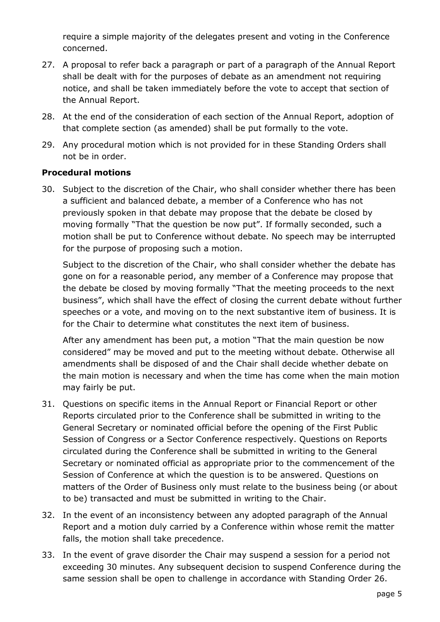require a simple majority of the delegates present and voting in the Conference concerned.

- 27. A proposal to refer back a paragraph or part of a paragraph of the Annual Report shall be dealt with for the purposes of debate as an amendment not requiring notice, and shall be taken immediately before the vote to accept that section of the Annual Report.
- 28. At the end of the consideration of each section of the Annual Report, adoption of that complete section (as amended) shall be put formally to the vote.
- 29. Any procedural motion which is not provided for in these Standing Orders shall not be in order.

### **Procedural motions**

30. Subject to the discretion of the Chair, who shall consider whether there has been a sufficient and balanced debate, a member of a Conference who has not previously spoken in that debate may propose that the debate be closed by moving formally "That the question be now put". If formally seconded, such a motion shall be put to Conference without debate. No speech may be interrupted for the purpose of proposing such a motion.

Subject to the discretion of the Chair, who shall consider whether the debate has gone on for a reasonable period, any member of a Conference may propose that the debate be closed by moving formally "That the meeting proceeds to the next business", which shall have the effect of closing the current debate without further speeches or a vote, and moving on to the next substantive item of business. It is for the Chair to determine what constitutes the next item of business.

After any amendment has been put, a motion "That the main question be now considered" may be moved and put to the meeting without debate. Otherwise all amendments shall be disposed of and the Chair shall decide whether debate on the main motion is necessary and when the time has come when the main motion may fairly be put.

- 31. Questions on specific items in the Annual Report or Financial Report or other Reports circulated prior to the Conference shall be submitted in writing to the General Secretary or nominated official before the opening of the First Public Session of Congress or a Sector Conference respectively. Questions on Reports circulated during the Conference shall be submitted in writing to the General Secretary or nominated official as appropriate prior to the commencement of the Session of Conference at which the question is to be answered. Questions on matters of the Order of Business only must relate to the business being (or about to be) transacted and must be submitted in writing to the Chair.
- 32. In the event of an inconsistency between any adopted paragraph of the Annual Report and a motion duly carried by a Conference within whose remit the matter falls, the motion shall take precedence.
- 33. In the event of grave disorder the Chair may suspend a session for a period not exceeding 30 minutes. Any subsequent decision to suspend Conference during the same session shall be open to challenge in accordance with Standing Order 26.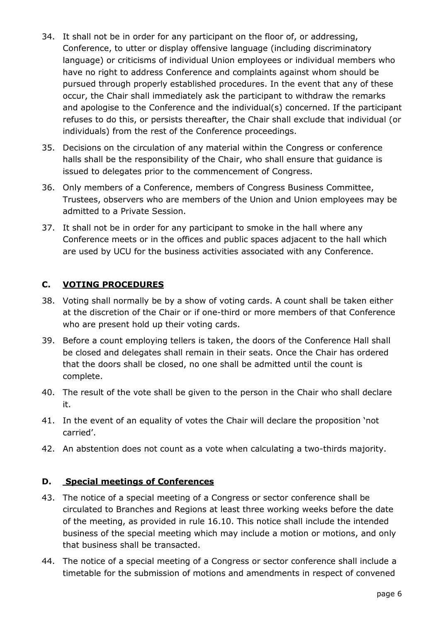- 34. It shall not be in order for any participant on the floor of, or addressing, Conference, to utter or display offensive language (including discriminatory language) or criticisms of individual Union employees or individual members who have no right to address Conference and complaints against whom should be pursued through properly established procedures. In the event that any of these occur, the Chair shall immediately ask the participant to withdraw the remarks and apologise to the Conference and the individual(s) concerned. If the participant refuses to do this, or persists thereafter, the Chair shall exclude that individual (or individuals) from the rest of the Conference proceedings.
- 35. Decisions on the circulation of any material within the Congress or conference halls shall be the responsibility of the Chair, who shall ensure that guidance is issued to delegates prior to the commencement of Congress.
- 36. Only members of a Conference, members of Congress Business Committee, Trustees, observers who are members of the Union and Union employees may be admitted to a Private Session.
- 37. It shall not be in order for any participant to smoke in the hall where any Conference meets or in the offices and public spaces adjacent to the hall which are used by UCU for the business activities associated with any Conference.

### **C. VOTING PROCEDURES**

- 38. Voting shall normally be by a show of voting cards. A count shall be taken either at the discretion of the Chair or if one-third or more members of that Conference who are present hold up their voting cards.
- 39. Before a count employing tellers is taken, the doors of the Conference Hall shall be closed and delegates shall remain in their seats. Once the Chair has ordered that the doors shall be closed, no one shall be admitted until the count is complete.
- 40. The result of the vote shall be given to the person in the Chair who shall declare it.
- 41. In the event of an equality of votes the Chair will declare the proposition 'not carried'.
- 42. An abstention does not count as a vote when calculating a two-thirds majority.

### **D. Special meetings of Conferences**

- 43. The notice of a special meeting of a Congress or sector conference shall be circulated to Branches and Regions at least three working weeks before the date of the meeting, as provided in rule 16.10. This notice shall include the intended business of the special meeting which may include a motion or motions, and only that business shall be transacted.
- 44. The notice of a special meeting of a Congress or sector conference shall include a timetable for the submission of motions and amendments in respect of convened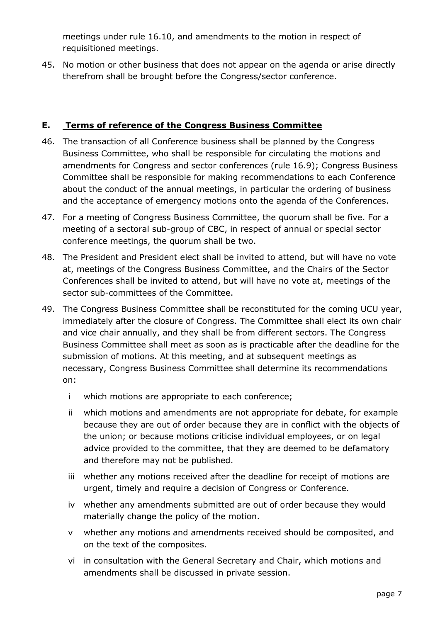meetings under rule 16.10, and amendments to the motion in respect of requisitioned meetings.

45. No motion or other business that does not appear on the agenda or arise directly therefrom shall be brought before the Congress/sector conference.

## **E. Terms of reference of the Congress Business Committee**

- 46. The transaction of all Conference business shall be planned by the Congress Business Committee, who shall be responsible for circulating the motions and amendments for Congress and sector conferences (rule 16.9); Congress Business Committee shall be responsible for making recommendations to each Conference about the conduct of the annual meetings, in particular the ordering of business and the acceptance of emergency motions onto the agenda of the Conferences.
- 47. For a meeting of Congress Business Committee, the quorum shall be five. For a meeting of a sectoral sub-group of CBC, in respect of annual or special sector conference meetings, the quorum shall be two.
- 48. The President and President elect shall be invited to attend, but will have no vote at, meetings of the Congress Business Committee, and the Chairs of the Sector Conferences shall be invited to attend, but will have no vote at, meetings of the sector sub-committees of the Committee.
- 49. The Congress Business Committee shall be reconstituted for the coming UCU year, immediately after the closure of Congress. The Committee shall elect its own chair and vice chair annually, and they shall be from different sectors. The Congress Business Committee shall meet as soon as is practicable after the deadline for the submission of motions. At this meeting, and at subsequent meetings as necessary, Congress Business Committee shall determine its recommendations on:
	- i which motions are appropriate to each conference;
	- ii which motions and amendments are not appropriate for debate, for example because they are out of order because they are in conflict with the objects of the union; or because motions criticise individual employees, or on legal advice provided to the committee, that they are deemed to be defamatory and therefore may not be published.
	- iii whether any motions received after the deadline for receipt of motions are urgent, timely and require a decision of Congress or Conference.
	- iv whether any amendments submitted are out of order because they would materially change the policy of the motion.
	- v whether any motions and amendments received should be composited, and on the text of the composites.
	- vi in consultation with the General Secretary and Chair, which motions and amendments shall be discussed in private session.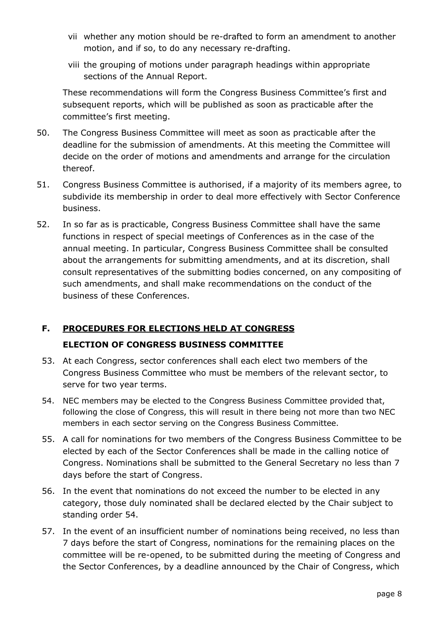- vii whether any motion should be re-drafted to form an amendment to another motion, and if so, to do any necessary re-drafting.
- viii the grouping of motions under paragraph headings within appropriate sections of the Annual Report.

These recommendations will form the Congress Business Committee's first and subsequent reports, which will be published as soon as practicable after the committee's first meeting.

- 50. The Congress Business Committee will meet as soon as practicable after the deadline for the submission of amendments. At this meeting the Committee will decide on the order of motions and amendments and arrange for the circulation thereof.
- 51. Congress Business Committee is authorised, if a majority of its members agree, to subdivide its membership in order to deal more effectively with Sector Conference business.
- 52. In so far as is practicable, Congress Business Committee shall have the same functions in respect of special meetings of Conferences as in the case of the annual meeting. In particular, Congress Business Committee shall be consulted about the arrangements for submitting amendments, and at its discretion, shall consult representatives of the submitting bodies concerned, on any compositing of such amendments, and shall make recommendations on the conduct of the business of these Conferences.

## **F. PROCEDURES FOR ELECTIONS HELD AT CONGRESS ELECTION OF CONGRESS BUSINESS COMMITTEE**

- 53. At each Congress, sector conferences shall each elect two members of the Congress Business Committee who must be members of the relevant sector, to serve for two year terms.
- 54. NEC members may be elected to the Congress Business Committee provided that, following the close of Congress, this will result in there being not more than two NEC members in each sector serving on the Congress Business Committee.
- 55. A call for nominations for two members of the Congress Business Committee to be elected by each of the Sector Conferences shall be made in the calling notice of Congress. Nominations shall be submitted to the General Secretary no less than 7 days before the start of Congress.
- 56. In the event that nominations do not exceed the number to be elected in any category, those duly nominated shall be declared elected by the Chair subject to standing order 54.
- 57. In the event of an insufficient number of nominations being received, no less than 7 days before the start of Congress, nominations for the remaining places on the committee will be re-opened, to be submitted during the meeting of Congress and the Sector Conferences, by a deadline announced by the Chair of Congress, which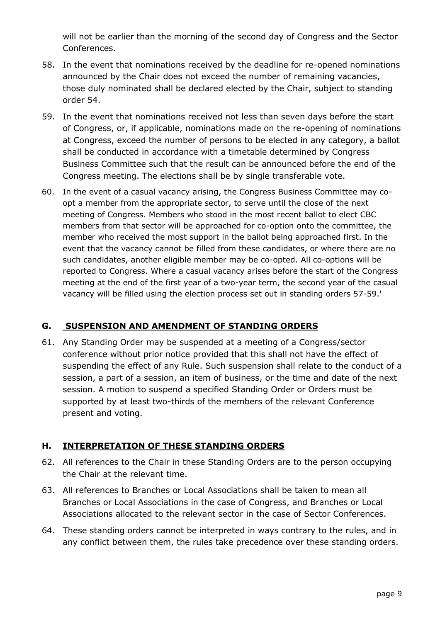will not be earlier than the morning of the second day of Congress and the Sector Conferences.

- 58. In the event that nominations received by the deadline for re-opened nominations announced by the Chair does not exceed the number of remaining vacancies, those duly nominated shall be declared elected by the Chair, subject to standing order 54.
- 59. In the event that nominations received not less than seven days before the start of Congress, or, if applicable, nominations made on the re-opening of nominations at Congress, exceed the number of persons to be elected in any category, a ballot shall be conducted in accordance with a timetable determined by Congress Business Committee such that the result can be announced before the end of the Congress meeting. The elections shall be by single transferable vote.
- 60. In the event of a casual vacancy arising, the Congress Business Committee may coopt a member from the appropriate sector, to serve until the close of the next meeting of Congress. Members who stood in the most recent ballot to elect CBC members from that sector will be approached for co-option onto the committee, the member who received the most support in the ballot being approached first. In the event that the vacancy cannot be filled from these candidates, or where there are no such candidates, another eligible member may be co-opted. All co-options will be reported to Congress. Where a casual vacancy arises before the start of the Congress meeting at the end of the first year of a two-year term, the second year of the casual vacancy will be filled using the election process set out in standing orders 57-59.'

## **G. SUSPENSION AND AMENDMENT OF STANDING ORDERS**

61. Any Standing Order may be suspended at a meeting of a Congress/sector conference without prior notice provided that this shall not have the effect of suspending the effect of any Rule. Such suspension shall relate to the conduct of a session, a part of a session, an item of business, or the time and date of the next session. A motion to suspend a specified Standing Order or Orders must be supported by at least two-thirds of the members of the relevant Conference present and voting.

## **H. INTERPRETATION OF THESE STANDING ORDERS**

- 62. All references to the Chair in these Standing Orders are to the person occupying the Chair at the relevant time.
- 63. All references to Branches or Local Associations shall be taken to mean all Branches or Local Associations in the case of Congress, and Branches or Local Associations allocated to the relevant sector in the case of Sector Conferences.
- 64. These standing orders cannot be interpreted in ways contrary to the rules, and in any conflict between them, the rules take precedence over these standing orders.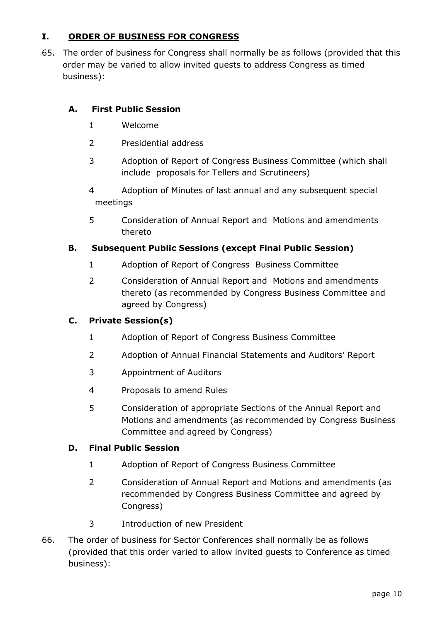## **I. ORDER OF BUSINESS FOR CONGRESS**

65. The order of business for Congress shall normally be as follows (provided that this order may be varied to allow invited guests to address Congress as timed business):

### **A. First Public Session**

- 1 Welcome
- 2 Presidential address
- 3 Adoption of Report of Congress Business Committee (which shall include proposals for Tellers and Scrutineers)
- 4 Adoption of Minutes of last annual and any subsequent special meetings
- 5 Consideration of Annual Report and Motions and amendments thereto

#### **B. Subsequent Public Sessions (except Final Public Session)**

- 1 Adoption of Report of Congress Business Committee
- 2 Consideration of Annual Report and Motions and amendments thereto (as recommended by Congress Business Committee and agreed by Congress)

#### **C. Private Session(s)**

- 1 Adoption of Report of Congress Business Committee
- 2 Adoption of Annual Financial Statements and Auditors' Report
- 3 Appointment of Auditors
- 4 Proposals to amend Rules
- 5 Consideration of appropriate Sections of the Annual Report and Motions and amendments (as recommended by Congress Business Committee and agreed by Congress)

#### **D. Final Public Session**

- 1 Adoption of Report of Congress Business Committee
- 2 Consideration of Annual Report and Motions and amendments (as recommended by Congress Business Committee and agreed by Congress)
- 3 Introduction of new President
- 66. The order of business for Sector Conferences shall normally be as follows (provided that this order varied to allow invited guests to Conference as timed business):